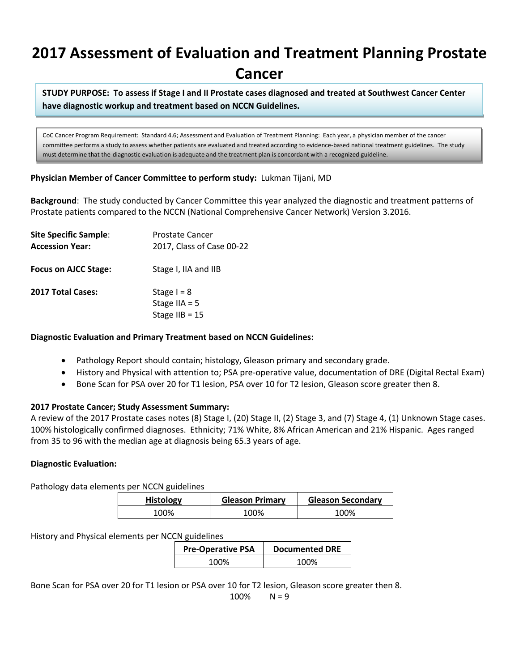# **2017 Assessment of Evaluation and Treatment Planning Prostate Cancer**

**STUDY PURPOSE: To assess if Stage I and II Prostate cases diagnosed and treated at Southwest Cancer Center have diagnostic workup and treatment based on NCCN Guidelines.**

CoC Cancer Program Requirement: Standard 4.6; Assessment and Evaluation of Treatment Planning: Each year, a physician member of the cancer committee performs a study to assess whether patients are evaluated and treated according to evidence-based national treatment guidelines. The study must determine that the diagnostic evaluation is adequate and the treatment plan is concordant with a recognized guideline.

#### **Physician Member of Cancer Committee to perform study:** Lukman Tijani, MD

**Background**: The study conducted by Cancer Committee this year analyzed the diagnostic and treatment patterns of Prostate patients compared to the NCCN (National Comprehensive Cancer Network) Version 3.2016.

| <b>Site Specific Sample:</b><br><b>Accession Year:</b> | Prostate Cancer<br>2017, Class of Case 00-22         |
|--------------------------------------------------------|------------------------------------------------------|
| Focus on AJCC Stage:                                   | Stage I, IIA and IIB                                 |
| <b>2017 Total Cases:</b>                               | Stage $I = 8$<br>Stage IIA = $5$<br>Stage IIB = $15$ |

#### **Diagnostic Evaluation and Primary Treatment based on NCCN Guidelines:**

- Pathology Report should contain; histology, Gleason primary and secondary grade.
- History and Physical with attention to; PSA pre-operative value, documentation of DRE (Digital Rectal Exam)
- Bone Scan for PSA over 20 for T1 lesion, PSA over 10 for T2 lesion, Gleason score greater then 8.

### **2017 Prostate Cancer; Study Assessment Summary:**

A review of the 2017 Prostate cases notes (8) Stage I, (20) Stage II, (2) Stage 3, and (7) Stage 4, (1) Unknown Stage cases. 100% histologically confirmed diagnoses. Ethnicity; 71% White, 8% African American and 21% Hispanic. Ages ranged from 35 to 96 with the median age at diagnosis being 65.3 years of age.

### **Diagnostic Evaluation:**

Pathology data elements per NCCN guidelines

| <b>Histology</b> | <b>Gleason Primary</b> | <b>Gleason Secondary</b> |
|------------------|------------------------|--------------------------|
| 100%             | '00%                   | 100%                     |

### History and Physical elements per NCCN guidelines

| <b>Pre-Operative PSA</b> | <b>Documented DRE</b> |
|--------------------------|-----------------------|
| 100%                     | 100%                  |

Bone Scan for PSA over 20 for T1 lesion or PSA over 10 for T2 lesion, Gleason score greater then 8.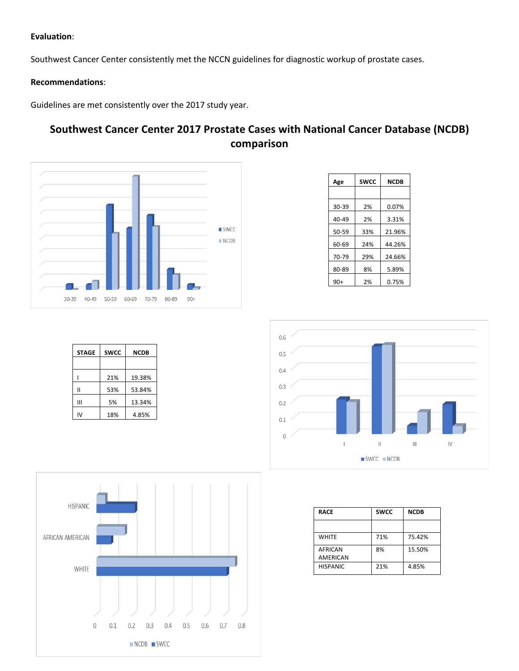#### **Evaluation**:

Southwest Cancer Center consistently met the NCCN guidelines for diagnostic workup of prostate cases.

#### **Recommendations**:

Guidelines are met consistently over the 2017 study year.

## **Southwest Cancer Center 2017 Prostate Cases with National Cancer Database (NCDB) comparison**



| Age       | <b>SWCC</b> | <b>NCDB</b> |  |  |  |  |
|-----------|-------------|-------------|--|--|--|--|
|           |             |             |  |  |  |  |
| 30-39     | 2%          | 0.07%       |  |  |  |  |
| $40 - 49$ | 2%          | 3.31%       |  |  |  |  |
| $50 - 59$ | 33%         | 21.96%      |  |  |  |  |
| 60-69     | 24%         | 44.26%      |  |  |  |  |
| 70-79     | 29%         | 24.66%      |  |  |  |  |
| 80-89     | 8%          | 5.89%       |  |  |  |  |
| $90+$     | 2%          | 0.75%       |  |  |  |  |

| <b>STAGE</b> | <b>SWCC</b> | <b>NCDB</b> |  |  |  |
|--------------|-------------|-------------|--|--|--|
|              |             |             |  |  |  |
|              | 21%         | 19.38%      |  |  |  |
|              | 53%         | 53.84%      |  |  |  |
| Ш            | 5%          | 13.34%      |  |  |  |
| ιv           | 18%         | 4.85%       |  |  |  |





| <b>RACE</b>     | <b>SWCC</b> | <b>NCDB</b> |  |  |  |
|-----------------|-------------|-------------|--|--|--|
|                 |             |             |  |  |  |
| <b>WHITE</b>    | 71%         | 75.42%      |  |  |  |
| <b>AFRICAN</b>  | 8%          | 15.50%      |  |  |  |
| <b>AMERICAN</b> |             |             |  |  |  |
| <b>HISPANIC</b> | 21%         | 4.85%       |  |  |  |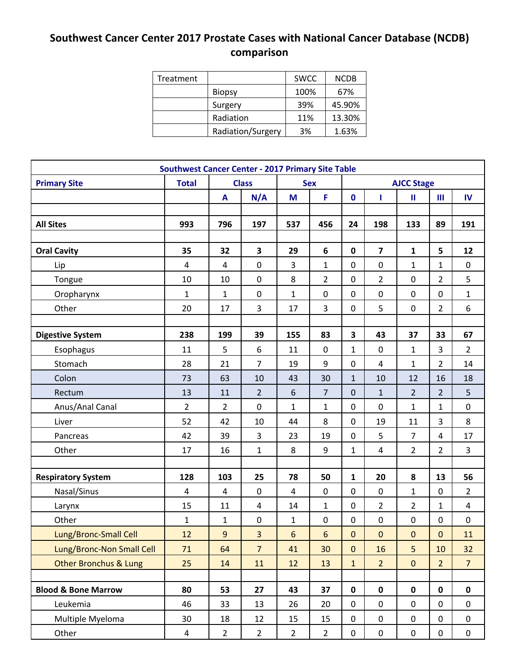# **Southwest Cancer Center 2017 Prostate Cases with National Cancer Database (NCDB) comparison**

| Treatment |                   | <b>SWCC</b> | <b>NCDB</b> |
|-----------|-------------------|-------------|-------------|
|           | <b>Biopsy</b>     | 100%        | 67%         |
|           | Surgery           | 39%         | 45.90%      |
|           | Radiation         | 11%         | 13.30%      |
|           | Radiation/Surgery | 3%          | 1.63%       |

| <b>Southwest Cancer Center - 2017 Primary Site Table</b> |                |                  |                         |                |                  |                |                   |                |                |                         |
|----------------------------------------------------------|----------------|------------------|-------------------------|----------------|------------------|----------------|-------------------|----------------|----------------|-------------------------|
| <b>Primary Site</b>                                      | <b>Total</b>   |                  | <b>Class</b>            |                | <b>Sex</b>       |                | <b>AJCC Stage</b> |                |                |                         |
|                                                          |                | A                | N/A                     | M              | F                | $\mathbf 0$    | п                 | Ш              | $\mathbf{III}$ | $\mathbf{N}$            |
|                                                          |                |                  |                         |                |                  |                |                   |                |                |                         |
| <b>All Sites</b>                                         | 993            | 796              | 197                     | 537            | 456              | 24             | 198               | 133            | 89             | 191                     |
|                                                          |                |                  |                         |                |                  |                |                   |                |                |                         |
| <b>Oral Cavity</b>                                       | 35             | 32               | $\overline{\mathbf{3}}$ | 29             | $6\phantom{1}$   | $\mathbf 0$    | $\overline{7}$    | $\mathbf{1}$   | 5              | 12                      |
| Lip                                                      | 4              | 4                | $\pmb{0}$               | 3              | $\mathbf{1}$     | 0              | $\mathbf 0$       | $\mathbf{1}$   | 1              | 0                       |
| Tongue                                                   | 10             | 10               | $\pmb{0}$               | 8              | $\overline{2}$   | 0              | $\overline{2}$    | 0              | $\overline{2}$ | 5                       |
| Oropharynx                                               | $\mathbf{1}$   | $\mathbf{1}$     | $\pmb{0}$               | $\mathbf{1}$   | $\boldsymbol{0}$ | $\mathbf 0$    | $\mathbf 0$       | 0              | 0              | $\mathbf{1}$            |
| Other                                                    | 20             | 17               | 3                       | 17             | 3                | 0              | 5                 | 0              | $\overline{2}$ | 6                       |
|                                                          |                |                  |                         |                |                  |                |                   |                |                |                         |
| <b>Digestive System</b>                                  | 238            | 199              | 39                      | 155            | 83               | 3              | 43                | 37             | 33             | 67                      |
| Esophagus                                                | 11             | 5                | 6                       | 11             | $\boldsymbol{0}$ | $\mathbf 1$    | $\mathbf 0$       | $\mathbf{1}$   | 3              | $\overline{2}$          |
| Stomach                                                  | 28             | 21               | $\overline{7}$          | 19             | 9                | 0              | 4                 | $\mathbf{1}$   | $\overline{2}$ | 14                      |
| Colon                                                    | 73             | 63               | 10                      | 43             | 30               | $\mathbf{1}$   | 10                | 12             | 16             | 18                      |
| Rectum                                                   | 13             | 11               | $\overline{2}$          | 6              | $\overline{7}$   | $\mathbf 0$    | $\mathbf{1}$      | $\overline{2}$ | $\overline{2}$ | 5                       |
| Anus/Anal Canal                                          | $\overline{2}$ | $\overline{2}$   | $\pmb{0}$               | $\mathbf{1}$   | 1                | 0              | 0                 | $\mathbf{1}$   | 1              | 0                       |
| Liver                                                    | 52             | 42               | 10                      | 44             | 8                | $\overline{0}$ | 19                | 11             | 3              | 8                       |
| Pancreas                                                 | 42             | 39               | $\mathsf{3}$            | 23             | 19               | $\pmb{0}$      | 5                 | $\overline{7}$ | 4              | 17                      |
| Other                                                    | 17             | 16               | $\mathbf 1$             | 8              | 9                | 1              | $\overline{4}$    | $\overline{2}$ | $\overline{2}$ | 3                       |
|                                                          |                |                  |                         |                |                  |                |                   |                |                |                         |
| <b>Respiratory System</b>                                | 128            | 103              | 25                      | 78             | 50               | 1              | 20                | 8              | 13             | 56                      |
| Nasal/Sinus                                              | 4              | 4                | $\pmb{0}$               | 4              | $\pmb{0}$        | 0              | 0                 | $\mathbf{1}$   | $\mathbf 0$    | $\overline{2}$          |
| Larynx                                                   | 15             | 11               | $\pmb{4}$               | 14             | $\mathbf{1}$     | 0              | $\overline{2}$    | $\overline{2}$ | $\mathbf{1}$   | $\overline{\mathbf{4}}$ |
| Other                                                    | $\mathbf{1}$   | $\mathbf{1}$     | $\pmb{0}$               | $\mathbf{1}$   | $\mathbf 0$      | $\mathbf 0$    | $\pmb{0}$         | 0              | $\mathbf 0$    | 0                       |
| Lung/Bronc-Small Cell                                    | 12             | $\boldsymbol{9}$ | 3                       | 6              | 6                | 0              | $\mathbf 0$       | $\pmb{0}$      | 0              | 11                      |
| Lung/Bronc-Non Small Cell                                | $71\,$         | 64               | $\overline{7}$          | 41             | 30               | $\overline{0}$ | 16                | 5              | 10             | 32                      |
| <b>Other Bronchus &amp; Lung</b>                         | 25             | 14               | 11                      | 12             | 13               | $\mathbf{1}$   | $\overline{2}$    | $\mathbf 0$    | $\overline{2}$ | $\overline{7}$          |
|                                                          |                |                  |                         |                |                  |                |                   |                |                |                         |
| <b>Blood &amp; Bone Marrow</b>                           | 80             | 53               | 27                      | 43             | 37               | $\mathbf 0$    | $\mathbf 0$       | $\mathbf 0$    | $\mathbf 0$    | $\mathbf 0$             |
| Leukemia                                                 | 46             | 33               | 13                      | 26             | 20               | 0              | 0                 | 0              | 0              | 0                       |
| Multiple Myeloma                                         | 30             | 18               | 12                      | 15             | 15               | 0              | $\pmb{0}$         | 0              | $\pmb{0}$      | $\pmb{0}$               |
| Other                                                    | 4              | $\overline{2}$   | $\overline{2}$          | $\overline{2}$ | $\overline{2}$   | 0              | 0                 | 0              | 0              | 0                       |